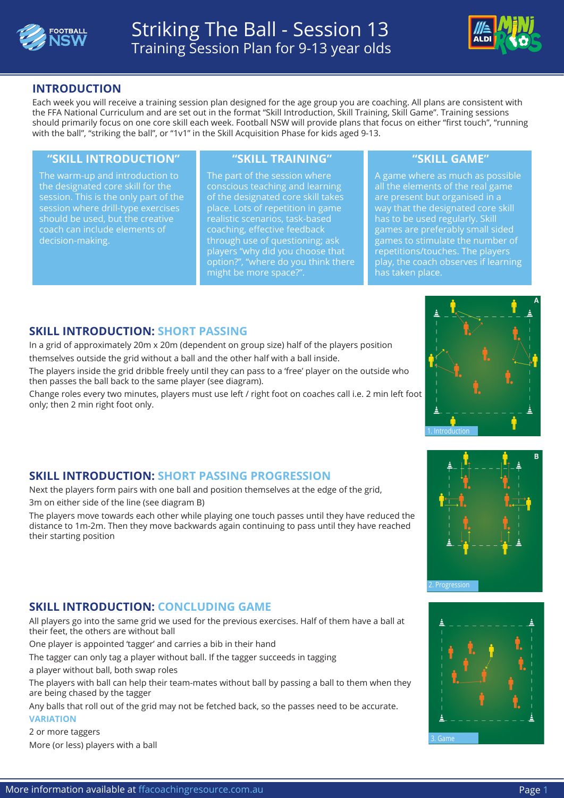



## **INTRODUCTION**

Each week you will receive a training session plan designed for the age group you are coaching. All plans are consistent with the FFA National Curriculum and are set out in the format "Skill Introduction, Skill Training, Skill Game". Training sessions should primarily focus on one core skill each week. Football NSW will provide plans that focus on either "first touch", "running with the ball", "striking the ball", or "1v1" in the Skill Acquisition Phase for kids aged 9-13.

#### **"SKILL INTRODUCTION" "SKILL TRAINING" "SKILL GAME"**

The warm-up and introduction to the designated core skill for the session. This is the only part of the session where drill-type exercises should be used, but the creative coach can include elements of decision-making.

The part of the session where conscious teaching and learning of the designated core skill takes place. Lots of repetition in game realistic scenarios, task-based coaching, effective feedback through use of questioning; ask players "why did you choose that option?", "where do you think there might be more space?".

A game where as much as possible all the elements of the real game are present but organised in a way that the designated core skill has to be used regularly. Skill games are preferably small sided games to stimulate the number of repetitions/touches. The players play, the coach observes if learning has taken place.

## **SKILL INTRODUCTION: SHORT PASSING**

In a grid of approximately 20m x 20m (dependent on group size) half of the players position themselves outside the grid without a ball and the other half with a ball inside.

The players inside the grid dribble freely until they can pass to a 'free' player on the outside who then passes the ball back to the same player (see diagram).

Change roles every two minutes, players must use left / right foot on coaches call i.e. 2 min left foot only; then 2 min right foot only.



# **SKILL INTRODUCTION: SHORT PASSING PROGRESSION**

Next the players form pairs with one ball and position themselves at the edge of the grid, 3m on either side of the line (see diagram B)

The players move towards each other while playing one touch passes until they have reduced the distance to 1m-2m. Then they move backwards again continuing to pass until they have reached their starting position

## **SKILL INTRODUCTION: CONCLUDING GAME**

All players go into the same grid we used for the previous exercises. Half of them have a ball at their feet, the others are without ball

One player is appointed 'tagger' and carries a bib in their hand

The tagger can only tag a player without ball. If the tagger succeeds in tagging

a player without ball, both swap roles

The players with ball can help their team-mates without ball by passing a ball to them when they are being chased by the tagger

Any balls that roll out of the grid may not be fetched back, so the passes need to be accurate. **VARIATION**

2 or more taggers More (or less) players with a ball